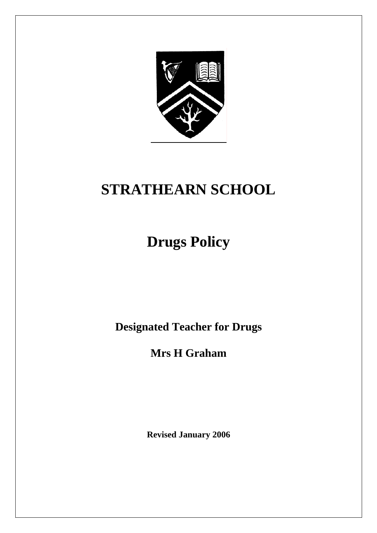

# **STRATHEARN SCHOOL**

# **Drugs Policy**

**Designated Teacher for Drugs** 

**Mrs H Graham** 

**Revised January 2006**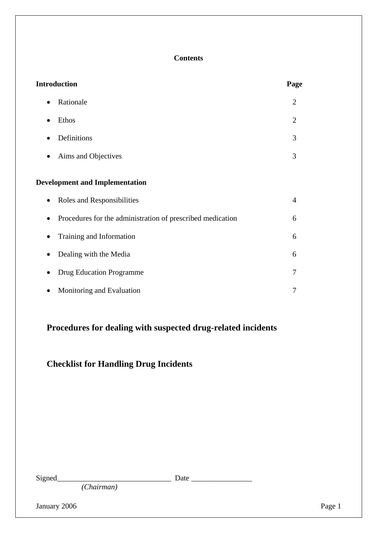## **Contents**

| <b>Introduction</b>                                             | Page           |
|-----------------------------------------------------------------|----------------|
| Rationale<br>$\bullet$                                          | $\overline{2}$ |
| Ethos<br>$\bullet$                                              | $\overline{2}$ |
| Definitions                                                     | 3              |
| Aims and Objectives                                             | 3              |
| <b>Development and Implementation</b>                           |                |
| Roles and Responsibilities                                      | 4              |
| Procedures for the administration of prescribed medication<br>D | 6              |
| Training and Information                                        | 6              |
| Dealing with the Media                                          | 6              |
| <b>Drug Education Programme</b>                                 | 7              |
| Monitoring and Evaluation                                       | 7              |

## **Procedures for dealing with suspected drug-related incidents**

## **Checklist for Handling Drug Incidents**

| ıvne |
|------|
|------|

 $\Box$  Date  $\Box$ 

*(Chairman)* 

January 2006 Page 1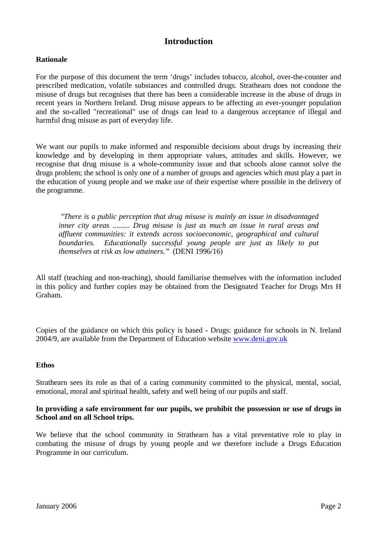## **Introduction**

## **Rationale**

For the purpose of this document the term 'drugs' includes tobacco, alcohol, over-the-counter and prescribed medication, volatile substances and controlled drugs. Strathearn does not condone the misuse of drugs but recognises that there has been a considerable increase in the abuse of drugs in recent years in Northern Ireland. Drug misuse appears to be affecting an ever-younger population and the so-called "recreational" use of drugs can lead to a dangerous acceptance of illegal and harmful drug misuse as part of everyday life.

We want our pupils to make informed and responsible decisions about drugs by increasing their knowledge and by developing in them appropriate values, attitudes and skills. However, we recognise that drug misuse is a whole-community issue and that schools alone cannot solve the drugs problem; the school is only one of a number of groups and agencies which must play a part in the education of young people and we make use of their expertise where possible in the delivery of the programme.

*"There is a public perception that drug misuse is mainly an issue in disadvantaged inner city areas ......... Drug misuse is just as much an issue in rural areas and affluent communities: it extends across socioeconomic, geographical and cultural boundaries. Educationally successful young people are just as likely to put themselves at risk as low attainers."* (DENI 1996/16)

All staff (teaching and non-teaching), should familiarise themselves with the information included in this policy and further copies may be obtained from the Designated Teacher for Drugs Mrs H Graham.

Copies of the guidance on which this policy is based - Drugs: guidance for schools in N. Ireland 2004/9, are available from the Department of Education website [www.deni.gov.uk](http://www.deni.gov.uk/) 

#### **Ethos**

Strathearn sees its role as that of a caring community committed to the physical, mental, social, emotional, moral and spiritual health, safety and well being of our pupils and staff.

#### **In providing a safe environment for our pupils, we prohibit the possession or use of drugs in School and on all School trips.**

We believe that the school community in Strathearn has a vital preventative role to play in combating the misuse of drugs by young people and we therefore include a Drugs Education Programme in our curriculum.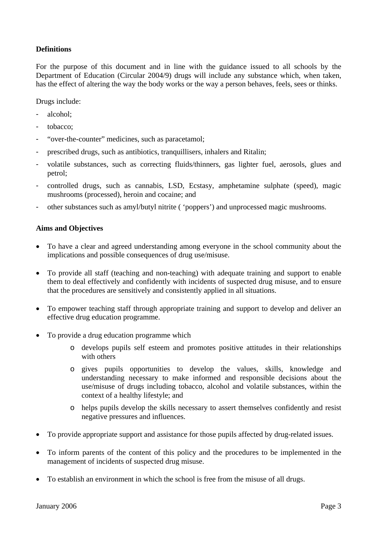## **Definitions**

For the purpose of this document and in line with the guidance issued to all schools by the Department of Education (Circular 2004/9) drugs will include any substance which, when taken, has the effect of altering the way the body works or the way a person behaves, feels, sees or thinks.

Drugs include:

- alcohol;
- tobacco:
- "over-the-counter" medicines, such as paracetamol;
- prescribed drugs, such as antibiotics, tranquillisers, inhalers and Ritalin;
- volatile substances, such as correcting fluids/thinners, gas lighter fuel, aerosols, glues and petrol;
- controlled drugs, such as cannabis, LSD, Ecstasy, amphetamine sulphate (speed), magic mushrooms (processed), heroin and cocaine; and
- other substances such as amyl/butyl nitrite ( 'poppers') and unprocessed magic mushrooms.

## **Aims and Objectives**

- To have a clear and agreed understanding among everyone in the school community about the implications and possible consequences of drug use/misuse.
- To provide all staff (teaching and non-teaching) with adequate training and support to enable them to deal effectively and confidently with incidents of suspected drug misuse, and to ensure that the procedures are sensitively and consistently applied in all situations.
- To empower teaching staff through appropriate training and support to develop and deliver an effective drug education programme.
- To provide a drug education programme which
	- o develops pupils self esteem and promotes positive attitudes in their relationships with others
	- o gives pupils opportunities to develop the values, skills, knowledge and understanding necessary to make informed and responsible decisions about the use/misuse of drugs including tobacco, alcohol and volatile substances, within the context of a healthy lifestyle; and
	- o helps pupils develop the skills necessary to assert themselves confidently and resist negative pressures and influences.
- To provide appropriate support and assistance for those pupils affected by drug-related issues.
- To inform parents of the content of this policy and the procedures to be implemented in the management of incidents of suspected drug misuse.
- To establish an environment in which the school is free from the misuse of all drugs.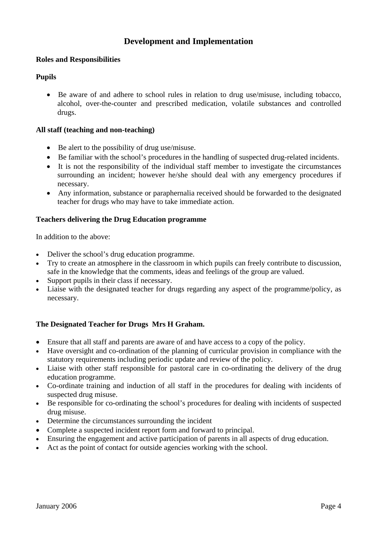## **Development and Implementation**

## **Roles and Responsibilities**

## **Pupils**

• Be aware of and adhere to school rules in relation to drug use/misuse, including tobacco, alcohol, over-the-counter and prescribed medication, volatile substances and controlled drugs.

## **All staff (teaching and non-teaching)**

- Be alert to the possibility of drug use/misuse.
- Be familiar with the school's procedures in the handling of suspected drug-related incidents.
- It is not the responsibility of the individual staff member to investigate the circumstances surrounding an incident; however he/she should deal with any emergency procedures if necessary.
- Any information, substance or paraphernalia received should be forwarded to the designated teacher for drugs who may have to take immediate action.

## **Teachers delivering the Drug Education programme**

In addition to the above:

- Deliver the school's drug education programme.
- Try to create an atmosphere in the classroom in which pupils can freely contribute to discussion, safe in the knowledge that the comments, ideas and feelings of the group are valued.
- Support pupils in their class if necessary.
- Liaise with the designated teacher for drugs regarding any aspect of the programme/policy, as necessary.

## **The Designated Teacher for Drugs Mrs H Graham.**

- Ensure that all staff and parents are aware of and have access to a copy of the policy.
- Have oversight and co-ordination of the planning of curricular provision in compliance with the statutory requirements including periodic update and review of the policy.
- Liaise with other staff responsible for pastoral care in co-ordinating the delivery of the drug education programme.
- Co-ordinate training and induction of all staff in the procedures for dealing with incidents of suspected drug misuse.
- Be responsible for co-ordinating the school's procedures for dealing with incidents of suspected drug misuse.
- Determine the circumstances surrounding the incident
- Complete a suspected incident report form and forward to principal.
- Ensuring the engagement and active participation of parents in all aspects of drug education.
- Act as the point of contact for outside agencies working with the school.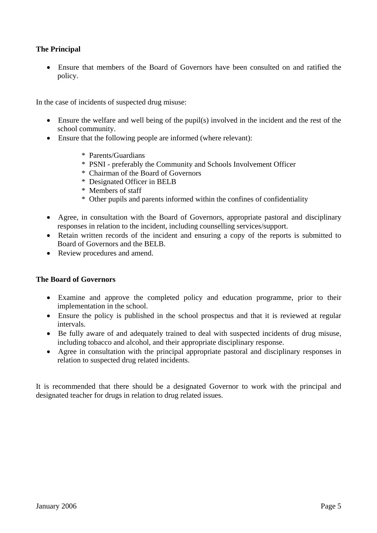## **The Principal**

• Ensure that members of the Board of Governors have been consulted on and ratified the policy.

In the case of incidents of suspected drug misuse:

- Ensure the welfare and well being of the pupil(s) involved in the incident and the rest of the school community.
- Ensure that the following people are informed (where relevant):
	- \* Parents/Guardians
	- \* PSNI preferably the Community and Schools Involvement Officer
	- \* Chairman of the Board of Governors
	- \* Designated Officer in BELB
	- \* Members of staff
	- \* Other pupils and parents informed within the confines of confidentiality
- Agree, in consultation with the Board of Governors, appropriate pastoral and disciplinary responses in relation to the incident, including counselling services/support.
- Retain written records of the incident and ensuring a copy of the reports is submitted to Board of Governors and the BELB.
- Review procedures and amend.

#### **The Board of Governors**

- Examine and approve the completed policy and education programme, prior to their implementation in the school.
- Ensure the policy is published in the school prospectus and that it is reviewed at regular intervals.
- Be fully aware of and adequately trained to deal with suspected incidents of drug misuse, including tobacco and alcohol, and their appropriate disciplinary response.
- Agree in consultation with the principal appropriate pastoral and disciplinary responses in relation to suspected drug related incidents.

It is recommended that there should be a designated Governor to work with the principal and designated teacher for drugs in relation to drug related issues.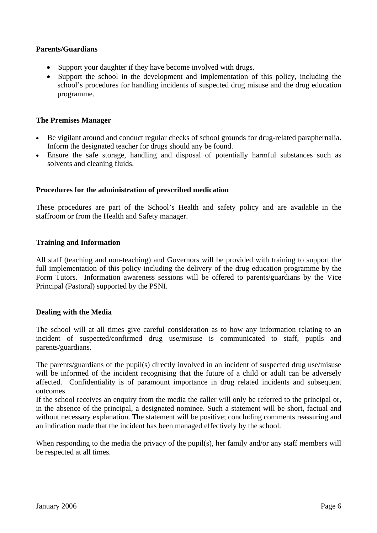## **Parents/Guardians**

- Support your daughter if they have become involved with drugs.
- Support the school in the development and implementation of this policy, including the school's procedures for handling incidents of suspected drug misuse and the drug education programme.

### **The Premises Manager**

- Be vigilant around and conduct regular checks of school grounds for drug-related paraphernalia. Inform the designated teacher for drugs should any be found.
- Ensure the safe storage, handling and disposal of potentially harmful substances such as solvents and cleaning fluids.

## **Procedures for the administration of prescribed medication**

These procedures are part of the School's Health and safety policy and are available in the staffroom or from the Health and Safety manager.

## **Training and Information**

All staff (teaching and non-teaching) and Governors will be provided with training to support the full implementation of this policy including the delivery of the drug education programme by the Form Tutors. Information awareness sessions will be offered to parents/guardians by the Vice Principal (Pastoral) supported by the PSNI.

#### **Dealing with the Media**

The school will at all times give careful consideration as to how any information relating to an incident of suspected/confirmed drug use/misuse is communicated to staff, pupils and parents/guardians.

The parents/guardians of the pupil(s) directly involved in an incident of suspected drug use/misuse will be informed of the incident recognising that the future of a child or adult can be adversely affected. Confidentiality is of paramount importance in drug related incidents and subsequent outcomes.

If the school receives an enquiry from the media the caller will only be referred to the principal or, in the absence of the principal, a designated nominee. Such a statement will be short, factual and without necessary explanation. The statement will be positive; concluding comments reassuring and an indication made that the incident has been managed effectively by the school.

When responding to the media the privacy of the pupil(s), her family and/or any staff members will be respected at all times.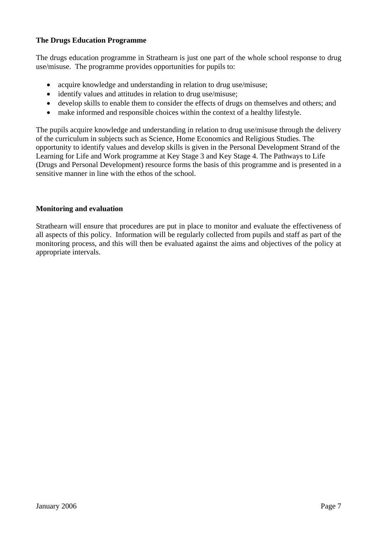## **The Drugs Education Programme**

The drugs education programme in Strathearn is just one part of the whole school response to drug use/misuse. The programme provides opportunities for pupils to:

- acquire knowledge and understanding in relation to drug use/misuse;
- identify values and attitudes in relation to drug use/misuse;
- develop skills to enable them to consider the effects of drugs on themselves and others; and
- make informed and responsible choices within the context of a healthy lifestyle.

The pupils acquire knowledge and understanding in relation to drug use/misuse through the delivery of the curriculum in subjects such as Science, Home Economics and Religious Studies. The opportunity to identify values and develop skills is given in the Personal Development Strand of the Learning for Life and Work programme at Key Stage 3 and Key Stage 4. The Pathways to Life (Drugs and Personal Development) resource forms the basis of this programme and is presented in a sensitive manner in line with the ethos of the school.

#### **Monitoring and evaluation**

Strathearn will ensure that procedures are put in place to monitor and evaluate the effectiveness of all aspects of this policy. Information will be regularly collected from pupils and staff as part of the monitoring process, and this will then be evaluated against the aims and objectives of the policy at appropriate intervals.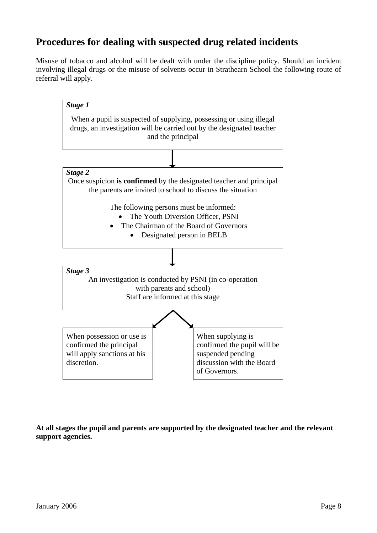# **Procedures for dealing with suspected drug related incidents**

Misuse of tobacco and alcohol will be dealt with under the discipline policy. Should an incident involving illegal drugs or the misuse of solvents occur in Strathearn School the following route of referral will apply.



**At all stages the pupil and parents are supported by the designated teacher and the relevant support agencies.**